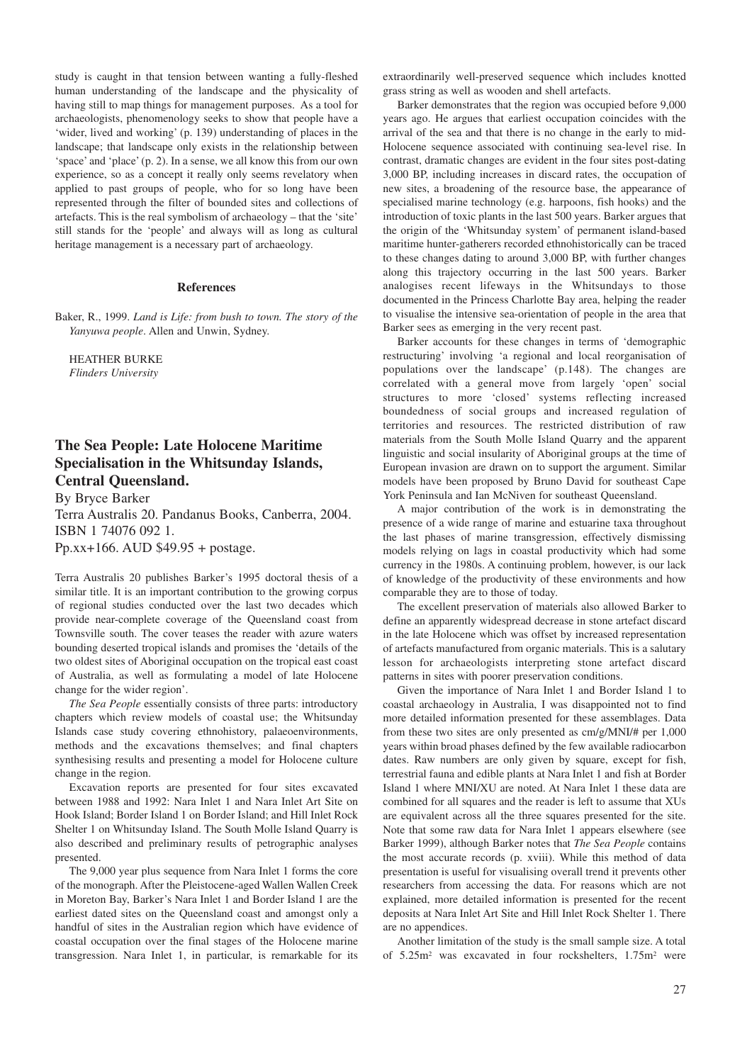study is caught in that tension between wanting a fully-fleshed human understanding of the landscape and the physicality of having still to map things for management purposes. As a tool for archaeologists, phenomenology seeks to show that people have a 'wider, lived and working' (p. 139) understanding of places in the landscape; that landscape only exists in the relationship between 'space' and 'place' (p. 2). In a sense, we all know this from our own experience, so as a concept it really only seems revelatory when applied to past groups of people, who for so long have been represented through the filter of bounded sites and collections of artefacts. This is the real symbolism of archaeology – that the 'site' still stands for the 'people' and always will as long as cultural heritage management is a necessary part of archaeology.

## **References**

Baker, R., 1999. *Land is Life: from bush to town. The story of the Yanyuwa people*. Allen and Unwin, Sydney.

HEATHER BURKE *Flinders University* 

## **The Sea People: Late Holocene Maritime Specialisation in the Whitsunday Islands, Central Queensland.**

By Bryce Barker

Terra Australis 20. Pandanus Books, Canberra, 2004. ISBN 1 74076 092 1. Pp.xx+166. AUD \$49.95 + postage.

Terra Australis 20 publishes Barker's 1995 doctoral thesis of a similar title. It is an important contribution to the growing corpus of regional studies conducted over the last two decades which provide near-complete coverage of the Queensland coast from Townsville south. The cover teases the reader with azure waters bounding deserted tropical islands and promises the 'details of the two oldest sites of Aboriginal occupation on the tropical east coast of Australia, as well as formulating a model of late Holocene change for the wider region'.

*The Sea People* essentially consists of three parts: introductory chapters which review models of coastal use; the Whitsunday Islands case study covering ethnohistory, palaeoenvironments, methods and the excavations themselves; and final chapters synthesising results and presenting a model for Holocene culture change in the region.

Excavation reports are presented for four sites excavated between 1988 and 1992: Nara Inlet 1 and Nara Inlet Art Site on Hook Island; Border Island 1 on Border Island; and Hill Inlet Rock Shelter 1 on Whitsunday Island. The South Molle Island Quarry is also described and preliminary results of petrographic analyses presented.

The 9,000 year plus sequence from Nara Inlet 1 forms the core of the monograph. After the Pleistocene-aged Wallen Wallen Creek in Moreton Bay, Barker's Nara Inlet 1 and Border Island 1 are the earliest dated sites on the Queensland coast and amongst only a handful of sites in the Australian region which have evidence of coastal occupation over the final stages of the Holocene marine transgression. Nara Inlet 1, in particular, is remarkable for its extraordinarily well-preserved sequence which includes knotted grass string as well as wooden and shell artefacts.

Barker demonstrates that the region was occupied before 9,000 years ago. He argues that earliest occupation coincides with the arrival of the sea and that there is no change in the early to mid-Holocene sequence associated with continuing sea-level rise. In contrast, dramatic changes are evident in the four sites post-dating 3,000 BP, including increases in discard rates, the occupation of new sites, a broadening of the resource base, the appearance of specialised marine technology (e.g. harpoons, fish hooks) and the introduction of toxic plants in the last 500 years. Barker argues that the origin of the 'Whitsunday system' of permanent island-based maritime hunter-gatherers recorded ethnohistorically can be traced to these changes dating to around 3,000 BP, with further changes along this trajectory occurring in the last 500 years. Barker analogises recent lifeways in the Whitsundays to those documented in the Princess Charlotte Bay area, helping the reader to visualise the intensive sea-orientation of people in the area that Barker sees as emerging in the very recent past.

Barker accounts for these changes in terms of 'demographic restructuring' involving 'a regional and local reorganisation of populations over the landscape' (p.148). The changes are correlated with a general move from largely 'open' social structures to more 'closed' systems reflecting increased boundedness of social groups and increased regulation of territories and resources. The restricted distribution of raw materials from the South Molle Island Quarry and the apparent linguistic and social insularity of Aboriginal groups at the time of European invasion are drawn on to support the argument. Similar models have been proposed by Bruno David for southeast Cape York Peninsula and Ian McNiven for southeast Queensland.

A major contribution of the work is in demonstrating the presence of a wide range of marine and estuarine taxa throughout the last phases of marine transgression, effectively dismissing models relying on lags in coastal productivity which had some currency in the 1980s. A continuing problem, however, is our lack of knowledge of the productivity of these environments and how comparable they are to those of today.

The excellent preservation of materials also allowed Barker to define an apparently widespread decrease in stone artefact discard in the late Holocene which was offset by increased representation of artefacts manufactured from organic materials. This is a salutary lesson for archaeologists interpreting stone artefact discard patterns in sites with poorer preservation conditions.

Given the importance of Nara Inlet 1 and Border Island 1 to coastal archaeology in Australia, I was disappointed not to find more detailed information presented for these assemblages. Data from these two sites are only presented as cm/g/MNI/# per 1,000 years within broad phases defined by the few available radiocarbon dates. Raw numbers are only given by square, except for fish, terrestrial fauna and edible plants at Nara Inlet 1 and fish at Border Island 1 where MNI/XU are noted. At Nara Inlet 1 these data are combined for all squares and the reader is left to assume that XUs are equivalent across all the three squares presented for the site. Note that some raw data for Nara Inlet 1 appears elsewhere (see Barker 1999), although Barker notes that *The Sea People* contains the most accurate records (p. xviii). While this method of data presentation is useful for visualising overall trend it prevents other researchers from accessing the data. For reasons which are not explained, more detailed information is presented for the recent deposits at Nara Inlet Art Site and Hill Inlet Rock Shelter 1. There are no appendices.

Another limitation of the study is the small sample size. A total of 5.25m2 was excavated in four rockshelters, 1.75m2 were